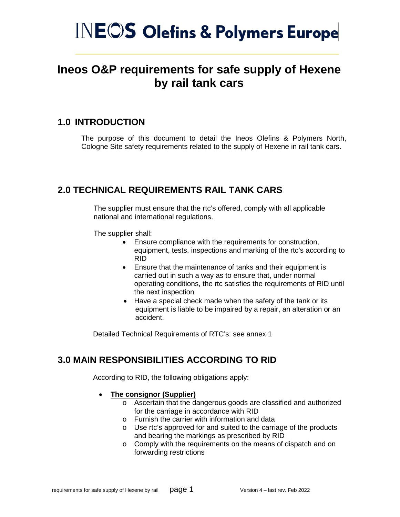# **INEOS Olefins & Polymers Europe**

## **Ineos O&P requirements for safe supply of Hexene by rail tank cars**

## **1.0 INTRODUCTION**

The purpose of this document to detail the Ineos Olefins & Polymers North, Cologne Site safety requirements related to the supply of Hexene in rail tank cars.

## **2.0 TECHNICAL REQUIREMENTS RAIL TANK CARS**

The supplier must ensure that the rtc's offered, comply with all applicable national and international regulations.

The supplier shall:

- Ensure compliance with the requirements for construction, equipment, tests, inspections and marking of the rtc's according to RID
- Ensure that the maintenance of tanks and their equipment is carried out in such a way as to ensure that, under normal operating conditions, the rtc satisfies the requirements of RID until the next inspection
- Have a special check made when the safety of the tank or its equipment is liable to be impaired by a repair, an alteration or an accident.

Detailed Technical Requirements of RTC's: see annex 1

## **3.0 MAIN RESPONSIBILITIES ACCORDING TO RID**

According to RID, the following obligations apply:

- **The consignor (Supplier)**
	- o Ascertain that the dangerous goods are classified and authorized for the carriage in accordance with RID
	- o Furnish the carrier with information and data
	- o Use rtc's approved for and suited to the carriage of the products and bearing the markings as prescribed by RID
	- o Comply with the requirements on the means of dispatch and on forwarding restrictions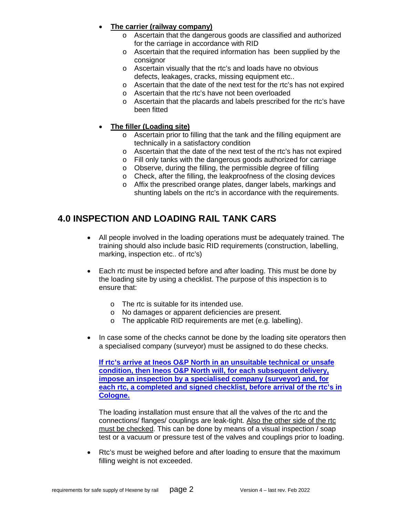#### • **The carrier (railway company)**

- o Ascertain that the dangerous goods are classified and authorized for the carriage in accordance with RID
- o Ascertain that the required information has been supplied by the consignor
- o Ascertain visually that the rtc's and loads have no obvious defects, leakages, cracks, missing equipment etc..
- o Ascertain that the date of the next test for the rtc's has not expired
- o Ascertain that the rtc's have not been overloaded
- o Ascertain that the placards and labels prescribed for the rtc's have been fitted
- **The filler (Loading site)**
	- o Ascertain prior to filling that the tank and the filling equipment are technically in a satisfactory condition
	- o Ascertain that the date of the next test of the rtc's has not expired
	- o Fill only tanks with the dangerous goods authorized for carriage
	- o Observe, during the filling, the permissible degree of filling
	- o Check, after the filling, the leakproofness of the closing devices
	- o Affix the prescribed orange plates, danger labels, markings and shunting labels on the rtc's in accordance with the requirements.

## **4.0 INSPECTION AND LOADING RAIL TANK CARS**

- All people involved in the loading operations must be adequately trained. The training should also include basic RID requirements (construction, labelling, marking, inspection etc.. of rtc's)
- Each rtc must be inspected before and after loading. This must be done by the loading site by using a checklist. The purpose of this inspection is to ensure that:
	- o The rtc is suitable for its intended use.
	- o No damages or apparent deficiencies are present.
	- o The applicable RID requirements are met (e.g. labelling).
- In case some of the checks cannot be done by the loading site operators then a specialised company (surveyor) must be assigned to do these checks.

**If rtc's arrive at Ineos O&P North in an unsuitable technical or unsafe condition, then Ineos O&P North will, for each subsequent delivery, impose an inspection by a specialised company (surveyor) and, for each rtc, a completed and signed checklist, before arrival of the rtc's in Cologne.**

The loading installation must ensure that all the valves of the rtc and the connections/ flanges/ couplings are leak-tight. Also the other side of the rtc must be checked. This can be done by means of a visual inspection / soap test or a vacuum or pressure test of the valves and couplings prior to loading.

• Rtc's must be weighed before and after loading to ensure that the maximum filling weight is not exceeded.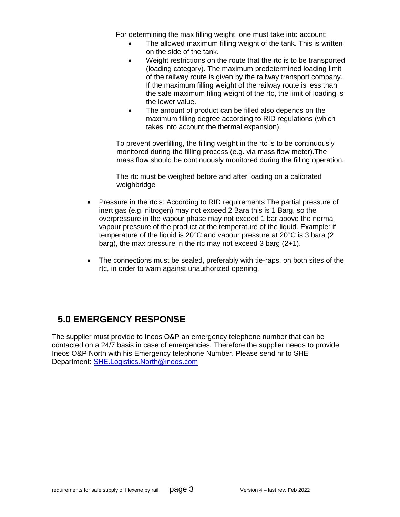For determining the max filling weight, one must take into account:

- The allowed maximum filling weight of the tank. This is written on the side of the tank.
- Weight restrictions on the route that the rtc is to be transported (loading category). The maximum predetermined loading limit of the railway route is given by the railway transport company. If the maximum filling weight of the railway route is less than the safe maximum filing weight of the rtc, the limit of loading is the lower value.
- The amount of product can be filled also depends on the maximum filling degree according to RID regulations (which takes into account the thermal expansion).

To prevent overfilling, the filling weight in the rtc is to be continuously monitored during the filling process (e.g. via mass flow meter).The mass flow should be continuously monitored during the filling operation.

The rtc must be weighed before and after loading on a calibrated weighbridge

- Pressure in the rtc's: According to RID requirements The partial pressure of inert gas (e.g. nitrogen) may not exceed 2 Bara this is 1 Barg, so the overpressure in the vapour phase may not exceed 1 bar above the normal vapour pressure of the product at the temperature of the liquid. Example: if temperature of the liquid is 20°C and vapour pressure at 20°C is 3 bara (2 barg), the max pressure in the rtc may not exceed 3 barg (2+1).
- The connections must be sealed, preferably with tie-raps, on both sites of the rtc, in order to warn against unauthorized opening.

## **5.0 EMERGENCY RESPONSE**

The supplier must provide to Ineos O&P an emergency telephone number that can be contacted on a 24/7 basis in case of emergencies. Therefore the supplier needs to provide Ineos O&P North with his Emergency telephone Number. Please send nr to SHE Department: [SHE.Logistics.North@ineos.com](mailto:SHE.Logistics.North@ineos.com)